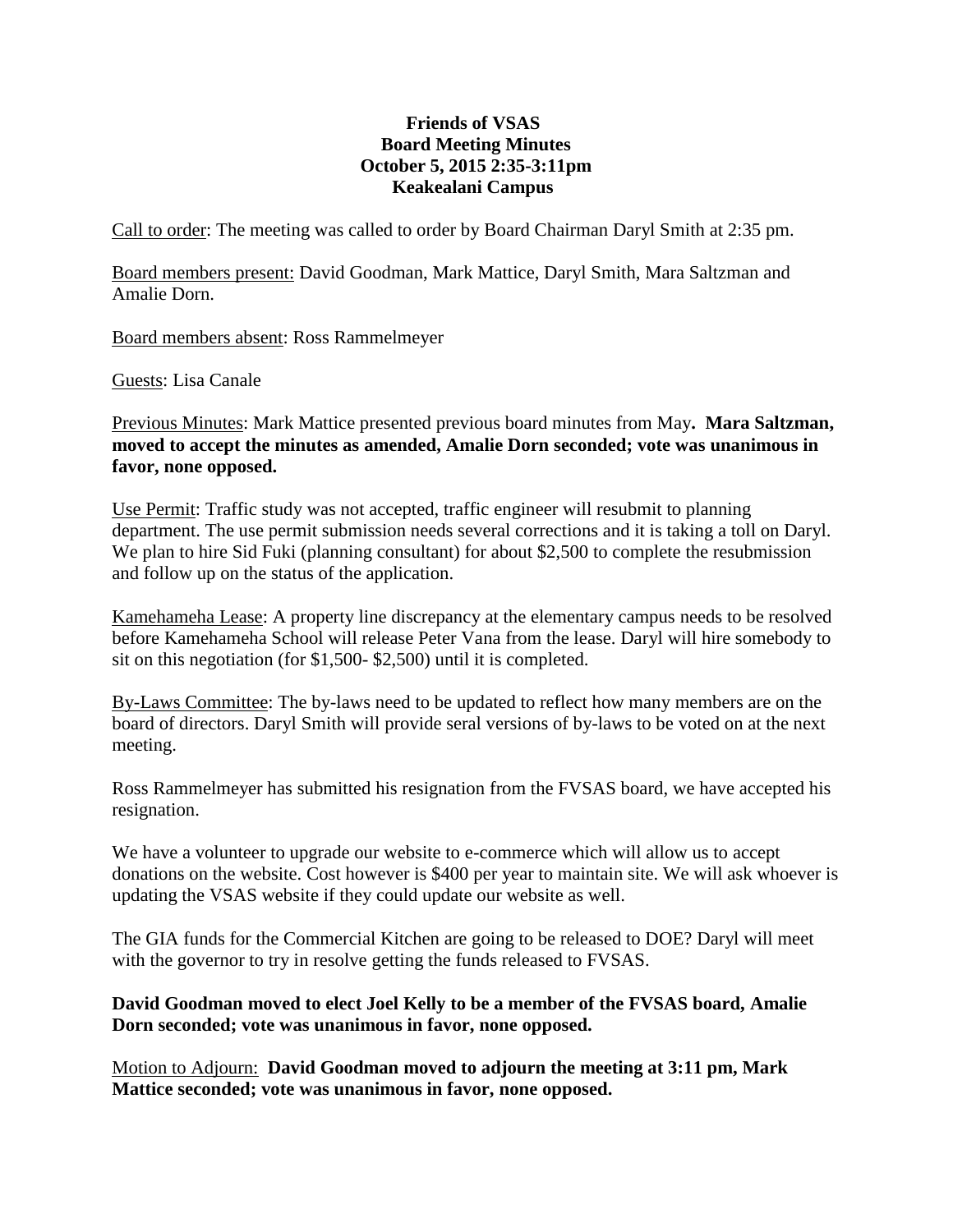## **Friends of VSAS Board Meeting Minutes October 5, 2015 2:35-3:11pm Keakealani Campus**

Call to order: The meeting was called to order by Board Chairman Daryl Smith at 2:35 pm.

Board members present: David Goodman, Mark Mattice, Daryl Smith, Mara Saltzman and Amalie Dorn.

Board members absent: Ross Rammelmeyer

Guests: Lisa Canale

Previous Minutes: Mark Mattice presented previous board minutes from May**. Mara Saltzman, moved to accept the minutes as amended, Amalie Dorn seconded; vote was unanimous in favor, none opposed.**

Use Permit: Traffic study was not accepted, traffic engineer will resubmit to planning department. The use permit submission needs several corrections and it is taking a toll on Daryl. We plan to hire Sid Fuki (planning consultant) for about \$2,500 to complete the resubmission and follow up on the status of the application.

Kamehameha Lease: A property line discrepancy at the elementary campus needs to be resolved before Kamehameha School will release Peter Vana from the lease. Daryl will hire somebody to sit on this negotiation (for \$1,500- \$2,500) until it is completed.

By-Laws Committee: The by-laws need to be updated to reflect how many members are on the board of directors. Daryl Smith will provide seral versions of by-laws to be voted on at the next meeting.

Ross Rammelmeyer has submitted his resignation from the FVSAS board, we have accepted his resignation.

We have a volunteer to upgrade our website to e-commerce which will allow us to accept donations on the website. Cost however is \$400 per year to maintain site. We will ask whoever is updating the VSAS website if they could update our website as well.

The GIA funds for the Commercial Kitchen are going to be released to DOE? Daryl will meet with the governor to try in resolve getting the funds released to FVSAS.

## **David Goodman moved to elect Joel Kelly to be a member of the FVSAS board, Amalie Dorn seconded; vote was unanimous in favor, none opposed.**

Motion to Adjourn: **David Goodman moved to adjourn the meeting at 3:11 pm, Mark Mattice seconded; vote was unanimous in favor, none opposed.**